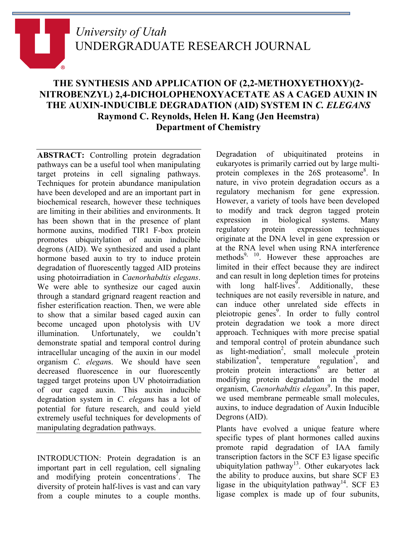# *University of Utah* UNDERGRADUATE RESEARCH JOURNAL

## **THE SYNTHESIS AND APPLICATION OF (2,2-METHOXYETHOXY)(2- NITROBENZYL) 2,4-DICHOLOPHENOXYACETATE AS A CAGED AUXIN IN THE AUXIN-INDUCIBLE DEGRADATION (AID) SYSTEM IN** *C. ELEGANS* **Raymond C. Reynolds, Helen H. Kang (Jen Heemstra) Department of Chemistry**

**ABSTRACT:** Controlling protein degradation pathways can be a useful tool when manipulating target proteins in cell signaling pathways. Techniques for protein abundance manipulation have been developed and are an important part in biochemical research, however these techniques are limiting in their abilities and environments. It has been shown that in the presence of plant hormone auxins, modified TIR1 F-box protein promotes ubiquitylation of auxin inducible degrons (AID). We synthesized and used a plant hormone based auxin to try to induce protein degradation of fluorescently tagged AID proteins using photoirradiation in *Caenorhabdtis elegans*. We were able to synthesize our caged auxin through a standard grignard reagent reaction and fisher esterification reaction. Then, we were able to show that a similar based caged auxin can become uncaged upon photolysis with UV illumination. Unfortunately, we couldn't demonstrate spatial and temporal control during intracellular uncaging of the auxin in our model organism *C. elegan*s. We should have seen decreased fluorescence in our fluorescently tagged target proteins upon UV photoirradiation of our caged auxin. This auxin inducible degradation system in *C. elegan*s has a lot of potential for future research, and could yield extremely useful techniques for developments of manipulating degradation pathways.

INTRODUCTION: Protein degradation is an important part in cell regulation, cell signaling and modifying protein concentrations<sup>7</sup>. The diversity of protein half-lives is vast and can vary from a couple minutes to a couple months.

Degradation of ubiquitinated proteins in eukaryotes is primarily carried out by large multiprotein complexes in the 26S proteasome<sup>8</sup>. In nature, in vivo protein degradation occurs as a regulatory mechanism for gene expression. However, a variety of tools have been developed to modify and track degron tagged protein expression in biological systems. Many regulatory protein expression techniques originate at the DNA level in gene expression or at the RNA level when using RNA interference methods<sup>9, 10</sup>. However these approaches are limited in their effect because they are indirect and can result in long depletion times for proteins with long half-lives<sup>9</sup>. Additionally, these techniques are not easily reversible in nature, and can induce other unrelated side effects in pleiotropic genes<sup>9</sup>. In order to fully control protein degradation we took a more direct approach. Techniques with more precise spatial and temporal control of protein abundance such as light-mediation<sup>2</sup>, small molecule protein stabilization<sup>4</sup>, temperature regulation<sup>5</sup> , and protein protein interactions<sup>6</sup> are better at modifying protein degradation in the model organism, *Caenorhabdtis elegans*<sup>9</sup>. In this paper, we used membrane permeable small molecules, auxins, to induce degradation of Auxin Inducible Degrons (AID).

Plants have evolved a unique feature where specific types of plant hormones called auxins promote rapid degradation of IAA family transcription factors in the SCF E3 ligase specific ubiquitylation pathway<sup>13</sup>. Other eukaryotes lack the ability to produce auxins, but share SCF E3 ligase in the ubiquitylation pathway<sup>14</sup>. SCF E3 ligase complex is made up of four subunits,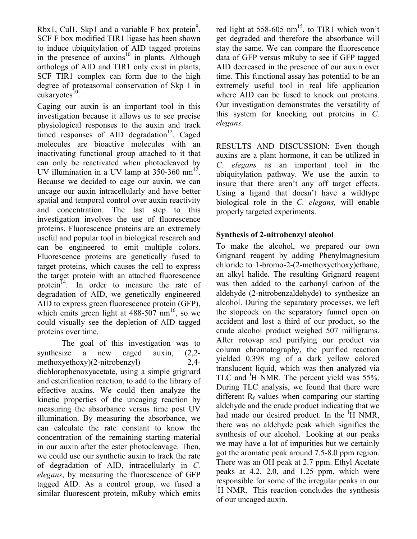Rbx1, Cul1, Skp1 and a variable  $F$  box protein<sup>9</sup>. SCF F box modified TIR1 ligase has been shown to induce ubiquitylation of AID tagged proteins in the presence of auxins<sup>10</sup> in plants. Although orthologs of AID and TIR1 only exist in plants, SCF TIR1 complex can form due to the high degree of proteasomal conservation of Skp 1 in eukaryotes $^{10}$ .

Caging our auxin is an important tool in this investigation because it allows us to see precise physiological responses to the auxin and track timed responses of AID degradation<sup>12</sup>. Caged molecules are bioactive molecules with an inactivating functional group attached to it that can only be reactivated when photocleaved by UV illumination in a UV lamp at  $350-360$  nm<sup>12</sup>. Because we decided to cage our auxin, we can uncage our auxin intracellularly and have better spatial and temporal control over auxin reactivity and concentration. The last step to this investigation involves the use of fluorescence proteins. Fluorescence proteins are an extremely useful and popular tool in biological research and can be engineered to emit multiple colors. Fluorescence proteins are genetically fused to target proteins, which causes the cell to express the target protein with an attached fluorescence protein<sup>14</sup>. In order to measure the rate of degradation of AID, we genetically engineered AID to express green fluorescence protein (GFP), which emits green light at  $488-507$  nm<sup>16</sup>, so we could visually see the depletion of AID tagged proteins over time.

The goal of this investigation was to synthesize a new caged auxin, (2,2 methoxyethoxy)(2-nitrobenzyl) 2,4 dichlorophenoxyacetate, using a simple grignard and esterification reaction, to add to the library of effective auxins. We could then analyze the kinetic properties of the uncaging reaction by measuring the absorbance versus time post UV illumination. By measuring the absorbance, we can calculate the rate constant to know the concentration of the remaining starting material in our auxin after the ester photocleavage. Then, we could use our synthetic auxin to track the rate of degradation of AID, intracellularly in *C. elegans*, by measuring the fluorescence of GFP tagged AID. As a control group, we fused a similar fluorescent protein, mRuby which emits red light at  $558-605$  nm<sup>15</sup>, to TIR1 which won't get degraded and therefore the absorbance will stay the same. We can compare the fluorescence data of GFP versus mRuby to see if GFP tagged AID decreased in the presence of our auxin over time. This functional assay has potential to be an extremely useful tool in real life application where AID can be fused to knock out proteins. Our investigation demonstrates the versatility of this system for knocking out proteins in *C. elegans*.

RESULTS AND DISCUSSION: Even though auxins are a plant hormone, it can be utilized in *C. elegans* as an important tool in the ubiquitylation pathway. We use the auxin to insure that there aren't any off target effects. Using a ligand that doesn't have a wildtype biological role in the *C. elegans,* will enable properly targeted experiments.

## **Synthesis of 2-nitrobenzyl alcohol**

To make the alcohol, we prepared our own Grignard reagent by adding Phenylmagnesium chloride to 1-bromo-2-(2-methoxyethoxy)ethane, an alkyl halide. The resulting Grignard reagent was then added to the carbonyl carbon of the aldehyde (2-nitrobenzaldehyde) to synthesize an alcohol. During the separatory processes, we left the stopcock on the separatory funnel open on accident and lost a third of our product, so the crude alcohol product weighed 507 milligrams. After rotovap and purifying our product via column chromatography, the purified reaction yielded 0.398 mg of a dark yellow colored translucent liquid, which was then analyzed via TLC and  ${}^{1}$ H NMR. The percent yield was 55%. During TLC analysis, we found that there were different  $R_f$  values when comparing our starting aldehyde and the crude product indicating that we had made our desired product. In the  $\overline{H}$  NMR, there was no aldehyde peak which signifies the synthesis of our alcohol. Looking at our peaks we may have a lot of impurities but we certainly got the aromatic peak around 7.5-8.0 ppm region. There was an OH peak at 2.7 ppm. Ethyl Acetate peaks at 4.2, 2.0, and 1.25 ppm, which were responsible for some of the irregular peaks in our <sup>1</sup>H NMR. This reaction concludes the synthesis of our uncaged auxin.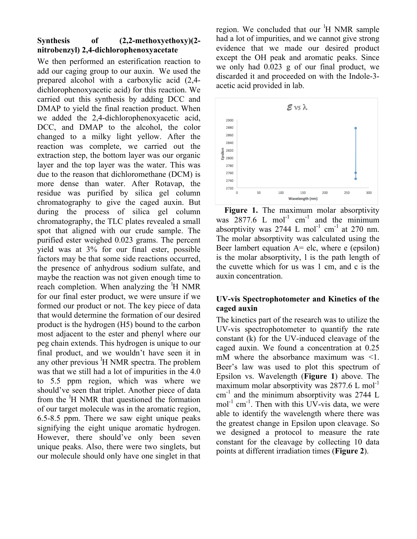## **Synthesis of (2,2-methoxyethoxy)(2 nitrobenzyl) 2,4-dichlorophenoxyacetate**

We then performed an esterification reaction to add our caging group to our auxin. We used the prepared alcohol with a carboxylic acid (2,4 dichlorophenoxyacetic acid) for this reaction. We carried out this synthesis by adding DCC and DMAP to yield the final reaction product. When we added the 2,4-dichlorophenoxyacetic acid, DCC, and DMAP to the alcohol, the color changed to a milky light yellow. After the reaction was complete, we carried out the extraction step, the bottom layer was our organic layer and the top layer was the water. This was due to the reason that dichloromethane (DCM) is more dense than water. After Rotavap, the residue was purified by silica gel column chromatography to give the caged auxin. But during the process of silica gel column chromatography, the TLC plates revealed a small spot that aligned with our crude sample. The purified ester weighed 0.023 grams. The percent yield was at 3% for our final ester, possible factors may be that some side reactions occurred, the presence of anhydrous sodium sulfate, and maybe the reaction was not given enough time to reach completion. When analyzing the <sup>1</sup>H NMR for our final ester product, we were unsure if we formed our product or not. The key piece of data that would determine the formation of our desired product is the hydrogen (H5) bound to the carbon most adjacent to the ester and phenyl where our peg chain extends. This hydrogen is unique to our final product, and we wouldn't have seen it in any other previous <sup>1</sup>H NMR spectra. The problem was that we still had a lot of impurities in the 4.0 to 5.5 ppm region, which was where we should've seen that triplet. Another piece of data from the <sup>1</sup>H NMR that questioned the formation of our target molecule was in the aromatic region, 6.5-8.5 ppm. There we saw eight unique peaks signifying the eight unique aromatic hydrogen. However, there should've only been seven unique peaks. Also, there were two singlets, but our molecule should only have one singlet in that

region. We concluded that our <sup>1</sup>H NMR sample had a lot of impurities, and we cannot give strong evidence that we made our desired product except the OH peak and aromatic peaks. Since we only had 0.023 g of our final product, we discarded it and proceeded on with the Indole-3 acetic acid provided in lab.



Figure 1. The maximum molar absorptivity was  $2877.6$  L mol<sup>-1</sup> cm<sup>-1</sup> and the minimum absorptivity was  $2744$  L mol<sup>-1</sup> cm<sup>-1</sup> at 270 nm. The molar absorptivity was calculated using the Beer lambert equation  $A =$  elc, where e (epsilon) is the molar absorptivity, l is the path length of the cuvette which for us was 1 cm, and c is the auxin concentration.

## **UV-vis Spectrophotometer and Kinetics of the caged auxin**

The kinetics part of the research was to utilize the UV-vis spectrophotometer to quantify the rate constant (k) for the UV-induced cleavage of the caged auxin. We found a concentration at 0.25 mM where the absorbance maximum was <1. Beer's law was used to plot this spectrum of Epsilon vs. Wavelength (**Figure 1**) above. The maximum molar absorptivity was  $2877.6$  L mol<sup>-1</sup>  $cm^{-1}$  and the minimum absorptivity was 2744 L mol<sup>-1</sup> cm<sup>-1</sup>. Then with this UV-vis data, we were able to identify the wavelength where there was the greatest change in Epsilon upon cleavage. So we designed a protocol to measure the rate constant for the cleavage by collecting 10 data points at different irradiation times (**Figure 2**).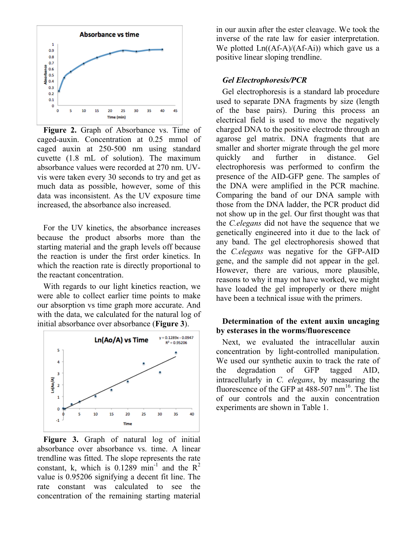

**Figure 2.** Graph of Absorbance vs. Time of caged-auxin. Concentration at 0.25 mmol of caged auxin at 250-500 nm using standard cuvette (1.8 mL of solution). The maximum absorbance values were recorded at 270 nm. UVvis were taken every 30 seconds to try and get as much data as possible, however, some of this data was inconsistent. As the UV exposure time increased, the absorbance also increased.

For the UV kinetics, the absorbance increases because the product absorbs more than the starting material and the graph levels off because the reaction is under the first order kinetics. In which the reaction rate is directly proportional to the reactant concentration.

With regards to our light kinetics reaction, we were able to collect earlier time points to make our absorption vs time graph more accurate. And with the data, we calculated for the natural log of initial absorbance over absorbance (**Figure 3**).



Figure 3. Graph of natural log of initial absorbance over absorbance vs. time. A linear trendline was fitted. The slope represents the rate constant, k, which is  $0.1289$  min<sup>-1</sup> and the  $R^2$ value is 0.95206 signifying a decent fit line. The rate constant was calculated to see the concentration of the remaining starting material

in our auxin after the ester cleavage. We took the inverse of the rate law for easier interpretation. We plotted  $Ln((Af-A)/(Af-Ai))$  which gave us a positive linear sloping trendline.

## *Gel Electrophoresis/PCR*

Gel electrophoresis is a standard lab procedure used to separate DNA fragments by size (length of the base pairs). During this process an electrical field is used to move the negatively charged DNA to the positive electrode through an agarose gel matrix. DNA fragments that are smaller and shorter migrate through the gel more quickly and further in distance. Gel electrophoresis was performed to confirm the presence of the AID-GFP gene. The samples of the DNA were amplified in the PCR machine. Comparing the band of our DNA sample with those from the DNA ladder, the PCR product did not show up in the gel. Our first thought was that the *C.elegans* did not have the sequence that we genetically engineered into it due to the lack of any band. The gel electrophoresis showed that the *C.elegans* was negative for the GFP-AID gene, and the sample did not appear in the gel. However, there are various, more plausible, reasons to why it may not have worked, we might have loaded the gel improperly or there might have been a technical issue with the primers.

## **Determination of the extent auxin uncaging by esterases in the worms/fluorescence**

Next, we evaluated the intracellular auxin concentration by light-controlled manipulation. We used our synthetic auxin to track the rate of the degradation of GFP tagged AID, intracellularly in *C. elegans*, by measuring the fluorescence of the GFP at  $488-507$  nm<sup>16</sup>. The list of our controls and the auxin concentration experiments are shown in Table 1.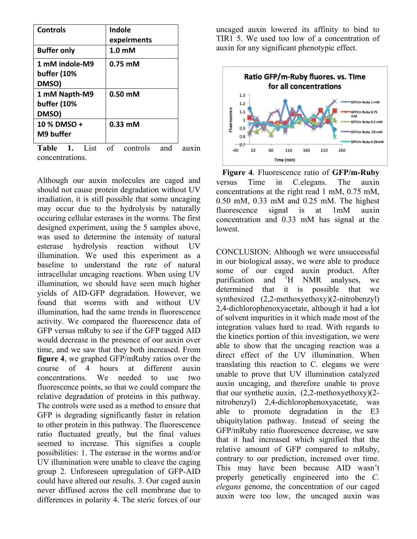| <b>Controls</b>    | Indole                      |  |
|--------------------|-----------------------------|--|
|                    | expeirments                 |  |
| <b>Buffer only</b> | 1.0 <sub>m</sub> M          |  |
| 1 mM indole-M9     | $0.75 \text{ }\mathrm{m}$ M |  |
| buffer (10%        |                             |  |
| DMSO)              |                             |  |
| 1 mM Napth-M9      | $0.50 \text{ mM}$           |  |
| buffer (10%        |                             |  |
| DMSO)              |                             |  |
| 10 % DMSO +        | $0.33$ mM                   |  |
| M9 buffer          |                             |  |
| mun 4 T            | ◠<br>$\mathbf{1}$           |  |

**Table 1.** List of controls and auxin concentrations.

Although our auxin molecules are caged and should not cause protein degradation without UV irradiation, it is still possible that some uncaging may occur due to the hydrolysis by naturally occuring cellular esterases in the worms. The first designed experiment, using the 5 samples above, was used to determine the intensity of natural esterase hydrolysis reaction without UV illumination. We used this experiment as a baseline to understand the rate of natural intracellular uncaging reactions. When using UV illumination, we should have seen much higher yields of AID-GFP degradation. However, we found that worms with and without UV illumination, had the same trends in fluorescence activity. We compared the fluorescence data of GFP versus mRuby to see if the GFP tagged AID would decrease in the presence of our auxin over time, and we saw that they both increased. From **figure 4**, we graphed GFP/mRuby ratios over the course of 4 hours at different auxin concentrations. We needed to use two fluorescence points, so that we could compare the relative degradation of proteins in this pathway. The controls were used as a method to ensure that GFP is degrading significantly faster in relation to other protein in this pathway. The fluorescence ratio fluctuated greatly, but the final values seemed to increase. This signifies a couple possibilities: 1. The esterase in the worms and/or UV illumination were unable to cleave the caging group 2. Unforeseen upregulation of GFP-AID could have altered our results. 3. Our caged auxin never diffused across the cell membrane due to differences in polarity 4. The steric forces of our

uncaged auxin lowered its affinity to bind to TIR1 5. We used too low of a concentration of auxin for any significant phenotypic effect.



**Figure 4**. Fluorescence ratio of **GFP/m-Ruby** versus Time in C.elegans. The auxin concentrations at the right read 1 mM, 0.75 mM, 0.50 mM, 0.33 mM and 0.25 mM. The highest fluorescence signal is at 1mM auxin concentration and 0.33 mM has signal at the lowest.

CONCLUSION: Although we were unsuccessful in our biological assay, we were able to produce some of our caged auxin product. After purification and <sup>1</sup>  $H$  NMR analyses, we determined that it is possible that we synthesized (2,2-methoxyethoxy)(2-nitrobenzyl) 2,4-dichlorophenoxyacetate, although it had a lot of solvent impurities in it which made most of the integration values hard to read. With regards to the kinetics portion of this investigation, we were able to show that the uncaging reaction was a direct effect of the UV illumination. When translating this reaction to C. elegans we were unable to prove that UV illumination catalyzed auxin uncaging, and therefore unable to prove that our synthetic auxin, (2,2-methoxyethoxy)(2 nitrobenzyl) 2,4-dichlorophenoxyacetate, was able to promote degradation in the E3 ubiquitylation pathway. Instead of seeing the GFP/mRuby ratio fluorescence decrease, we saw that it had increased which signified that the relative amount of GFP compared to mRuby, contrary to our prediction, increased over time. This may have been because AID wasn't properly genetically engineered into the *C. elegans* genome, the concentration of our caged auxin were too low, the uncaged auxin was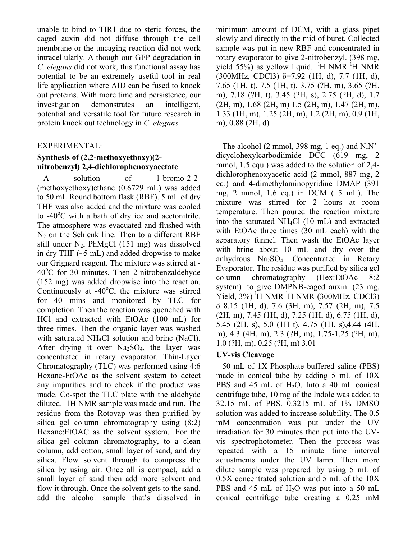unable to bind to TIR1 due to steric forces, the caged auxin did not diffuse through the cell membrane or the uncaging reaction did not work intracellularly. Although our GFP degradation in *C. elegans* did not work, this functional assay has potential to be an extremely useful tool in real life application where AID can be fused to knock out proteins. With more time and persistence, our investigation demonstrates an intelligent, potential and versatile tool for future research in protein knock out technology in *C. elegans*.

## EXPERIMENTAL:

## **Synthesis of (2,2-methoxyethoxy)(2 nitrobenzyl) 2,4-dichlorophenoxyacetate**

A solution of 1-bromo-2-2- (methoxyethoxy)ethane (0.6729 mL) was added to 50 mL Round bottom flask (RBF). 5 mL of dry THF was also added and the mixture was cooled to  $-40^{\circ}$ C with a bath of dry ice and acetonitrile. The atmosphere was evacuated and flushed with  $N_2$  on the Schlenk line. Then to a different RBF still under  $N_2$ , PhMgCl (151 mg) was dissolved in dry THF  $(-5 \text{ mL})$  and added dropwise to make our Grignard reagent. The mixture was stirred at - 40°C for 30 minutes. Then 2-nitrobenzaldehyde (152 mg) was added dropwise into the reaction. Continuously at  $-40^{\circ}$ C, the mixture was stirred for 40 mins and monitored by TLC for completion. Then the reaction was quenched with HCl and extracted with EtOAc (100 mL) for three times. Then the organic layer was washed with saturated NH<sub>4</sub>Cl solution and brine (NaCl). After drying it over  $Na<sub>2</sub>SO<sub>4</sub>$ , the layer was concentrated in rotary evaporator. Thin-Layer Chromatography (TLC) was performed using 4:6 Hexane-EtOAc as the solvent system to detect any impurities and to check if the product was made. Co-spot the TLC plate with the aldehyde diluted. 1H NMR sample was made and run. The residue from the Rotovap was then purified by silica gel column chromatography using (8:2) Hexane:EtOAC as the solvent system. For the silica gel column chromatography, to a clean column, add cotton, small layer of sand, and dry silica. Flow solvent through to compress the silica by using air. Once all is compact, add a small layer of sand then add more solvent and flow it through. Once the solvent gets to the sand, add the alcohol sample that's dissolved in

minimum amount of DCM, with a glass pipet slowly and directly in the mid of buret. Collected sample was put in new RBF and concentrated in rotary evaporator to give 2-nitrobenzyl. (398 mg, yield 55%) as yellow liquid. <sup>1</sup>H NMR <sup>1</sup>H NMR (300MHz, CDCl3)  $\delta$ =7.92 (1H, d), 7.7 (1H, d), 7.65 (1H, t), 7.5 (1H, t), 3.75 (?H, m), 3.65 (?H, m), 7.18 (?H, t), 3.45 (?H, s), 2.75 (?H, d), 1.7 (2H, m), 1.68 (2H, m) 1.5 (2H, m), 1.47 (2H, m), 1.33 (1H, m), 1.25 (2H, m), 1.2 (2H, m), 0.9 (1H, m), 0.88 (2H, d)

The alcohol  $(2 \text{ mmol}, 398 \text{ mg}, 1 \text{ eq.})$  and N,N'dicyclohexylcarbodiimide DCC (619 mg, 2 mmol, 1.5 equ.) was added to the solution of 2,4 dichlorophenoxyacetic acid (2 mmol, 887 mg, 2 eq.) and 4-dimethylaminopyridine DMAP (391 mg, 2 mmol, 1.6 eq.) in DCM ( 5 mL). The mixture was stirred for 2 hours at room temperature. Then poured the reaction mixture into the saturated NH4Cl (10 mL) and extracted with EtOAc three times (30 mL each) with the separatory funnel. Then wash the EtOAc layer with brine about 10 mL and dry over the anhydrous  $Na<sub>2</sub>SO<sub>4</sub>$ . Concentrated in Rotary Evaporator. The residue was purified by silica gel column chromatography (Hex:EtOAc 8:2 system) to give DMPNB-caged auxin. (23 mg, Yield,  $3\%$ ) <sup>1</sup>H NMR <sup>1</sup>H NMR (300MHz, CDCl3) δ 8.15 (1H, d), 7.6 (3H, m), 7.57 (2H, m), 7.5 (2H, m), 7.45 (1H, d), 7.25 (1H, d), 6.75 (1H, d), 5.45 (2H, s), 5.0 (1H t), 4.75 (1H, s),4.44 (4H, m), 4.3 (4H, m), 2.3 (?H, m), 1.75-1.25 (?H, m), 1.0 (?H, m), 0.25 (?H, m) 3.01

## **UV-vis Cleavage**

50 mL of 1X Phosphate buffered saline (PBS) made in conical tube by adding 5 mL of 10X PBS and 45 mL of H<sub>2</sub>O. Into a 40 mL conical centrifuge tube, 10 mg of the Indole was added to 32.15 mL of PBS. 0.3215 mL of 1% DMSO solution was added to increase solubility. The 0.5 mM concentration was put under the UV irradiation for 30 minutes then put into the UVvis spectrophotometer. Then the process was repeated with a 15 minute time interval adjustments under the UV lamp. Then more dilute sample was prepared by using 5 mL of 0.5X concentrated solution and 5 mL of the 10X PBS and 45 mL of H<sub>2</sub>O was put into a 50 mL conical centrifuge tube creating a 0.25 mM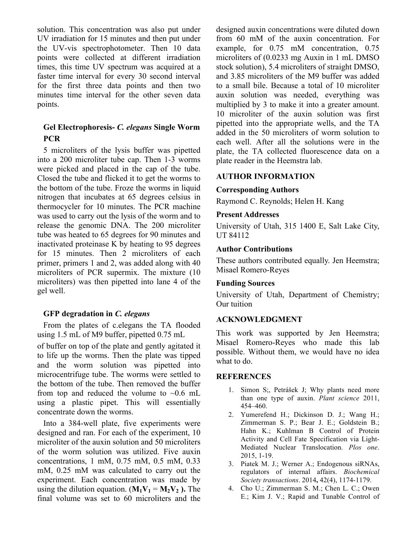solution. This concentration was also put under UV irradiation for 15 minutes and then put under the UV-vis spectrophotometer. Then 10 data points were collected at different irradiation times, this time UV spectrum was acquired at a faster time interval for every 30 second interval for the first three data points and then two minutes time interval for the other seven data points.

## **Gel Electrophoresis-** *C. elegans* **Single Worm PCR**

5 microliters of the lysis buffer was pipetted into a 200 microliter tube cap. Then 1-3 worms were picked and placed in the cap of the tube. Closed the tube and flicked it to get the worms to the bottom of the tube. Froze the worms in liquid nitrogen that incubates at 65 degrees celsius in thermocycler for 10 minutes. The PCR machine was used to carry out the lysis of the worm and to release the genomic DNA. The 200 microliter tube was heated to 65 degrees for 90 minutes and inactivated proteinase K by heating to 95 degrees for 15 minutes. Then 2 microliters of each primer, primers 1 and 2, was added along with 40 microliters of PCR supermix. The mixture (10 microliters) was then pipetted into lane 4 of the gel well.

#### **GFP degradation in** *C. elegans*

From the plates of c.elegans the TA flooded using 1.5 mL of M9 buffer, pipetted 0.75 mL

of buffer on top of the plate and gently agitated it to life up the worms. Then the plate was tipped and the worm solution was pipetted into microcentrifuge tube. The worms were settled to the bottom of the tube. Then removed the buffer from top and reduced the volume to  $\sim 0.6$  mL using a plastic pipet. This will essentially concentrate down the worms.

Into a 384-well plate, five experiments were designed and ran. For each of the experiment, 10 microliter of the auxin solution and 50 microliters of the worm solution was utilized. Five auxin concentrations, 1 mM, 0.75 mM, 0.5 mM, 0.33 mM, 0.25 mM was calculated to carry out the experiment. Each concentration was made by using the dilution equation.  $(M_1V_1 = M_2V_2)$ . The final volume was set to 60 microliters and the

designed auxin concentrations were diluted down from 60 mM of the auxin concentration. For example, for 0.75 mM concentration, 0.75 microliters of (0.0233 mg Auxin in 1 mL DMSO stock solution), 5.4 microliters of straight DMSO, and 3.85 microliters of the M9 buffer was added to a small bile. Because a total of 10 microliter auxin solution was needed, everything was multiplied by 3 to make it into a greater amount. 10 microliter of the auxin solution was first pipetted into the appropriate wells, and the TA added in the 50 microliters of worm solution to each well. After all the solutions were in the plate, the TA collected fluorescence data on a plate reader in the Heemstra lab.

## **AUTHOR INFORMATION**

## **Corresponding Authors**

Raymond C. Reynolds; Helen H. Kang

## **Present Addresses**

University of Utah, 315 1400 E, Salt Lake City, UT 84112

## **Author Contributions**

These authors contributed equally. Jen Heemstra; Misael Romero-Reyes

## **Funding Sources**

University of Utah, Department of Chemistry; Our tuition

## **ACKNOWLEDGMENT**

This work was supported by Jen Heemstra; Misael Romero-Reyes who made this lab possible. Without them, we would have no idea what to do.

#### **REFERENCES**

- 1. Simon S;, Petrášek J; Why plants need more than one type of auxin. *Plant science* 2011, 454–460.
- 2. Yumerefend H.; Dickinson D. J.; Wang H.; Zimmerman S. P.; Bear J. E.; Goldstein B.; Hahn K.; Kuhlman B Control of Protein Activity and Cell Fate Specification via Light-Mediated Nuclear Translocation. *Plos one*. 2015, 1-19.
- 3. Piatek M. J.; Werner A.; Endogenous siRNAs, regulators of internal affairs. *Biochemical Society transactions*. 2014**,** 42(4), 1174-1179.
- 4. Cho U.; Zimmerman S. M.; Chen L. C.; Owen E.; Kim J. V.; Rapid and Tunable Control of